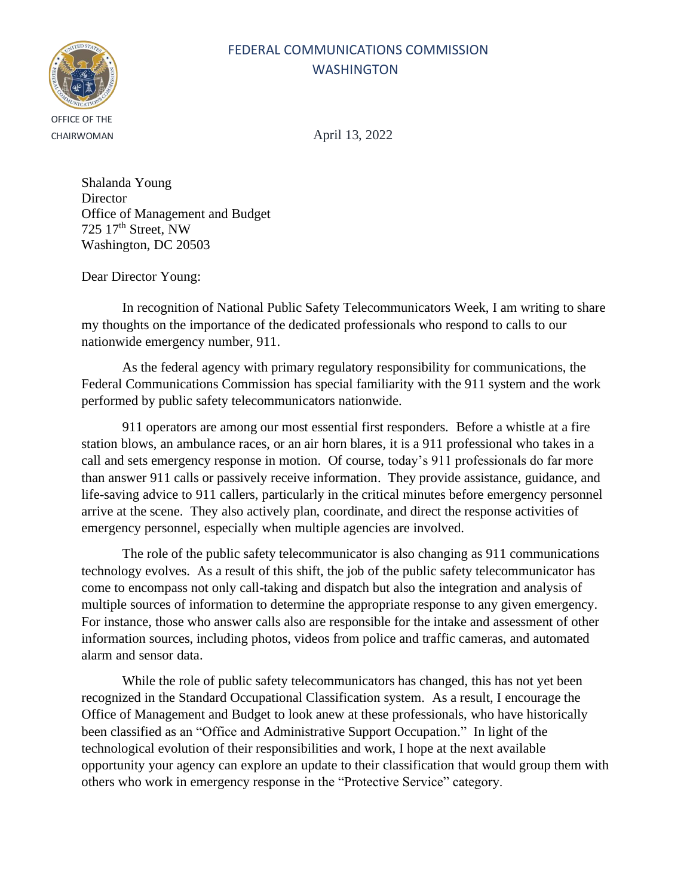## OFFICE OF THE

## FEDERAL COMMUNICATIONS COMMISSION **WASHINGTON**

CHAIRWOMAN April 13, 2022

Shalanda Young **Director** Office of Management and Budget 725 17th Street, NW Washington, DC 20503

Dear Director Young:

In recognition of National Public Safety Telecommunicators Week, I am writing to share my thoughts on the importance of the dedicated professionals who respond to calls to our nationwide emergency number, 911.

As the federal agency with primary regulatory responsibility for communications, the Federal Communications Commission has special familiarity with the 911 system and the work performed by public safety telecommunicators nationwide.

911 operators are among our most essential first responders. Before a whistle at a fire station blows, an ambulance races, or an air horn blares, it is a 911 professional who takes in a call and sets emergency response in motion. Of course, today's 911 professionals do far more than answer 911 calls or passively receive information. They provide assistance, guidance, and life-saving advice to 911 callers, particularly in the critical minutes before emergency personnel arrive at the scene. They also actively plan, coordinate, and direct the response activities of emergency personnel, especially when multiple agencies are involved.

The role of the public safety telecommunicator is also changing as 911 communications technology evolves. As a result of this shift, the job of the public safety telecommunicator has come to encompass not only call-taking and dispatch but also the integration and analysis of multiple sources of information to determine the appropriate response to any given emergency. For instance, those who answer calls also are responsible for the intake and assessment of other information sources, including photos, videos from police and traffic cameras, and automated alarm and sensor data.

While the role of public safety telecommunicators has changed, this has not yet been recognized in the Standard Occupational Classification system. As a result, I encourage the Office of Management and Budget to look anew at these professionals, who have historically been classified as an "Office and Administrative Support Occupation." In light of the technological evolution of their responsibilities and work, I hope at the next available opportunity your agency can explore an update to their classification that would group them with others who work in emergency response in the "Protective Service" category.